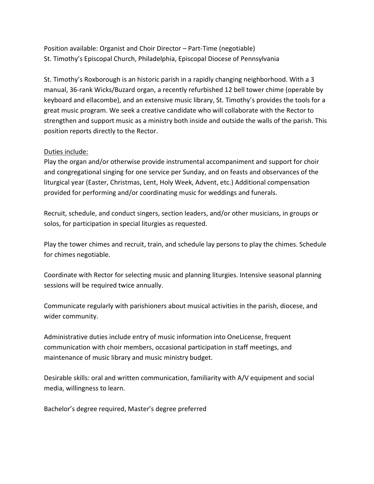Position available: Organist and Choir Director – Part-Time (negotiable) St. Timothy's Episcopal Church, Philadelphia, Episcopal Diocese of Pennsylvania

St. Timothy's Roxborough is an historic parish in a rapidly changing neighborhood. With a 3 manual, 36-rank Wicks/Buzard organ, a recently refurbished 12 bell tower chime (operable by keyboard and ellacombe), and an extensive music library, St. Timothy's provides the tools for a great music program. We seek a creative candidate who will collaborate with the Rector to strengthen and support music as a ministry both inside and outside the walls of the parish. This position reports directly to the Rector.

## Duties include:

Play the organ and/or otherwise provide instrumental accompaniment and support for choir and congregational singing for one service per Sunday, and on feasts and observances of the liturgical year (Easter, Christmas, Lent, Holy Week, Advent, etc.) Additional compensation provided for performing and/or coordinating music for weddings and funerals.

Recruit, schedule, and conduct singers, section leaders, and/or other musicians, in groups or solos, for participation in special liturgies as requested.

Play the tower chimes and recruit, train, and schedule lay persons to play the chimes. Schedule for chimes negotiable.

Coordinate with Rector for selecting music and planning liturgies. Intensive seasonal planning sessions will be required twice annually.

Communicate regularly with parishioners about musical activities in the parish, diocese, and wider community.

Administrative duties include entry of music information into OneLicense, frequent communication with choir members, occasional participation in staff meetings, and maintenance of music library and music ministry budget.

Desirable skills: oral and written communication, familiarity with A/V equipment and social media, willingness to learn.

Bachelor's degree required, Master's degree preferred